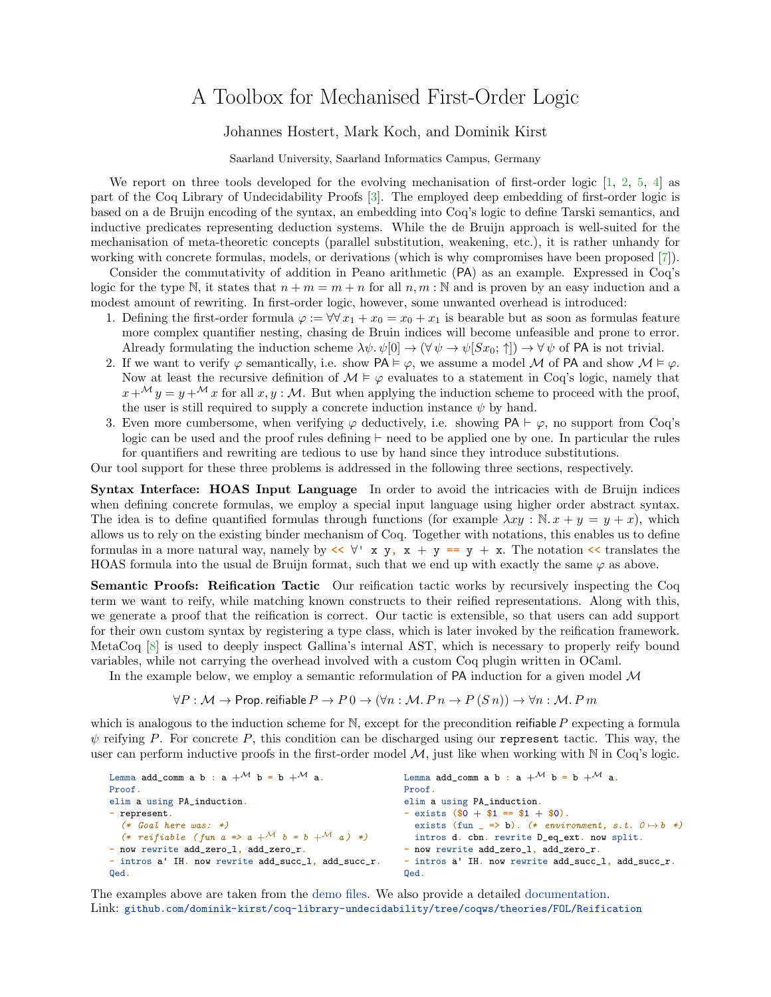## A Toolbox for Mechanised First-Order Logic

## Johannes Hostert, Mark Koch, and Dominik Kirst

Saarland University, Saarland Informatics Campus, Germany

We report on three tools developed for the evolving mechanisation of first-order logic [\[1,](#page-1-0) [2,](#page-1-1) [5,](#page-1-2) [4\]](#page-1-3) as part of the Coq Library of Undecidability Proofs [\[3\]](#page-1-4). The employed deep embedding of first-order logic is based on a de Bruijn encoding of the syntax, an embedding into Coq's logic to define Tarski semantics, and inductive predicates representing deduction systems. While the de Bruijn approach is well-suited for the mechanisation of meta-theoretic concepts (parallel substitution, weakening, etc.), it is rather unhandy for working with concrete formulas, models, or derivations (which is why compromises have been proposed [\[7\]](#page-1-5)).

Consider the commutativity of addition in Peano arithmetic (PA) as an example. Expressed in Coq's logic for the type N, it states that  $n + m = m + n$  for all  $n, m : \mathbb{N}$  and is proven by an easy induction and a modest amount of rewriting. In first-order logic, however, some unwanted overhead is introduced:

- 1. Defining the first-order formula  $\varphi := \forall \forall x_1 + x_0 = x_0 + x_1$  is bearable but as soon as formulas feature more complex quantifier nesting, chasing de Bruin indices will become unfeasible and prone to error. Already formulating the induction scheme  $\lambda \psi \cdot \psi[0] \to (\forall \psi \to \psi[Sx_0; \uparrow]) \to \forall \psi$  of PA is not trivial.
- 2. If we want to verify  $\varphi$  semantically, i.e. show  $PA \models \varphi$ , we assume a model M of PA and show  $M \models \varphi$ . Now at least the recursive definition of  $\mathcal{M} \models \varphi$  evaluates to a statement in Coq's logic, namely that  $x+\mathcal{M} y = y+\mathcal{M} x$  for all  $x, y : \mathcal{M}$ . But when applying the induction scheme to proceed with the proof, the user is still required to supply a concrete induction instance  $\psi$  by hand.
- 3. Even more cumbersome, when verifying  $\varphi$  deductively, i.e. showing PA  $\vdash \varphi$ , no support from Coq's logic can be used and the proof rules defining  $\vdash$  need to be applied one by one. In particular the rules for quantifiers and rewriting are tedious to use by hand since they introduce substitutions.

Our tool support for these three problems is addressed in the following three sections, respectively.

Syntax Interface: HOAS Input Language In order to avoid the intricacies with de Bruijn indices when defining concrete formulas, we employ a special input language using higher order abstract syntax. The idea is to define quantified formulas through functions (for example  $\lambda xy : \mathbb{N}.x + y = y + x$ ), which allows us to rely on the existing binder mechanism of Coq. Together with notations, this enables us to define formulas in a more natural way, namely by  $\langle \langle \nabla \times \mathbf{y}, \mathbf{x} + \mathbf{y} \rangle = \mathbf{y} + \mathbf{x}$ . The notation  $\langle \langle$  translates the HOAS formula into the usual de Bruijn format, such that we end up with exactly the same  $\varphi$  as above.

Semantic Proofs: Reification Tactic Our reification tactic works by recursively inspecting the Coq term we want to reify, while matching known constructs to their reified representations. Along with this, we generate a proof that the reification is correct. Our tactic is extensible, so that users can add support for their own custom syntax by registering a type class, which is later invoked by the reification framework. MetaCoq [\[8\]](#page-1-6) is used to deeply inspect Gallina's internal AST, which is necessary to properly reify bound variables, while not carrying the overhead involved with a custom Coq plugin written in OCaml.

In the example below, we employ a semantic reformulation of  $PA$  induction for a given model  $M$ 

$$
\forall P: \mathcal{M} \to \text{Prop. refiable } P \to P \, 0 \to (\forall n: \mathcal{M}. \, P \, n \to P \, (S \, n)) \to \forall n: \mathcal{M}. \, P \, m
$$

which is analogous to the induction scheme for  $\mathbb N$ , except for the precondition reifiable P expecting a formula  $\psi$  reifying P. For concrete P, this condition can be discharged using our represent tactic. This way, the user can perform inductive proofs in the first-order model  $M$ , just like when working with  $N$  in Coq's logic.

| Lemma add_comm a b : a $+^{\mathcal{M}}$ b = b $+^{\mathcal{M}}$ a. | Lemma add_comm a b : a $+^{\mathcal{M}}$ b = b $+^{\mathcal{M}}$ a. |
|---------------------------------------------------------------------|---------------------------------------------------------------------|
| Proof.                                                              | Proof.                                                              |
| elim a using PA_induction.                                          | elim a using PA_induction.                                          |
| - represent.                                                        | - exists $(\$0 + \$1 == \$1 + \$0)$ .                               |
| $(*$ Goal here was: *)                                              | exists (fun _ => b). (* environment, s.t. $0 \mapsto b$ *)          |
| (* reifiable (fun a => a + M b = b + M a) *)                        | intros d. cbn. rewrite D_eq_ext. now split.                         |
| - now rewrite add_zero_1, add_zero_r.                               | - now rewrite add_zero_1, add_zero_r.                               |
| - intros a' IH. now rewrite add_succ_1, add_succ_r.                 | - intros a' IH. now rewrite add_succ_1, add_succ_r.                 |
| Qed.                                                                | Qed.                                                                |

The examples above are taken from the [demo files.](https://github.com/dominik-kirst/coq-library-undecidability/tree/coqws/theories/FOL/Reification) We also provide a detailed [documentation.](https://github.com/dominik-kirst/coq-library-undecidability/blob/coqws/theories/FOL/Reification/ReificationDocumentation.pdf) Link: <github.com/dominik-kirst/coq-library-undecidability/tree/coqws/theories/FOL/Reification>